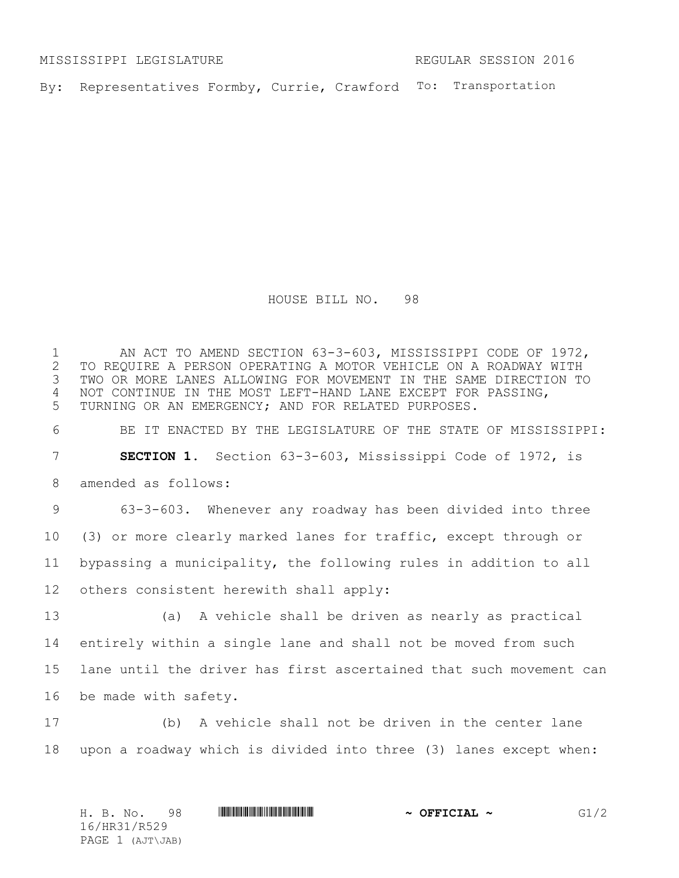MISSISSIPPI LEGISLATURE REGULAR SESSION 2016

By: Representatives Formby, Currie, Crawford To: Transportation

HOUSE BILL NO. 98

1 AN ACT TO AMEND SECTION 63-3-603, MISSISSIPPI CODE OF 1972,<br>2 TO REQUIRE A PERSON OPERATING A MOTOR VEHICLE ON A ROADWAY WITH 2 TO REQUIRE A PERSON OPERATING A MOTOR VEHICLE ON A ROADWAY WITH<br>3 TWO OR MORE LANES ALLOWING FOR MOVEMENT IN THE SAME DIRECTION TO TWO OR MORE LANES ALLOWING FOR MOVEMENT IN THE SAME DIRECTION TO NOT CONTINUE IN THE MOST LEFT-HAND LANE EXCEPT FOR PASSING, TURNING OR AN EMERGENCY; AND FOR RELATED PURPOSES. BE IT ENACTED BY THE LEGISLATURE OF THE STATE OF MISSISSIPPI: **SECTION 1.** Section 63-3-603, Mississippi Code of 1972, is amended as follows: 63-3-603. Whenever any roadway has been divided into three (3) or more clearly marked lanes for traffic, except through or bypassing a municipality, the following rules in addition to all others consistent herewith shall apply: (a) A vehicle shall be driven as nearly as practical entirely within a single lane and shall not be moved from such lane until the driver has first ascertained that such movement can be made with safety. (b) A vehicle shall not be driven in the center lane upon a roadway which is divided into three (3) lanes except when: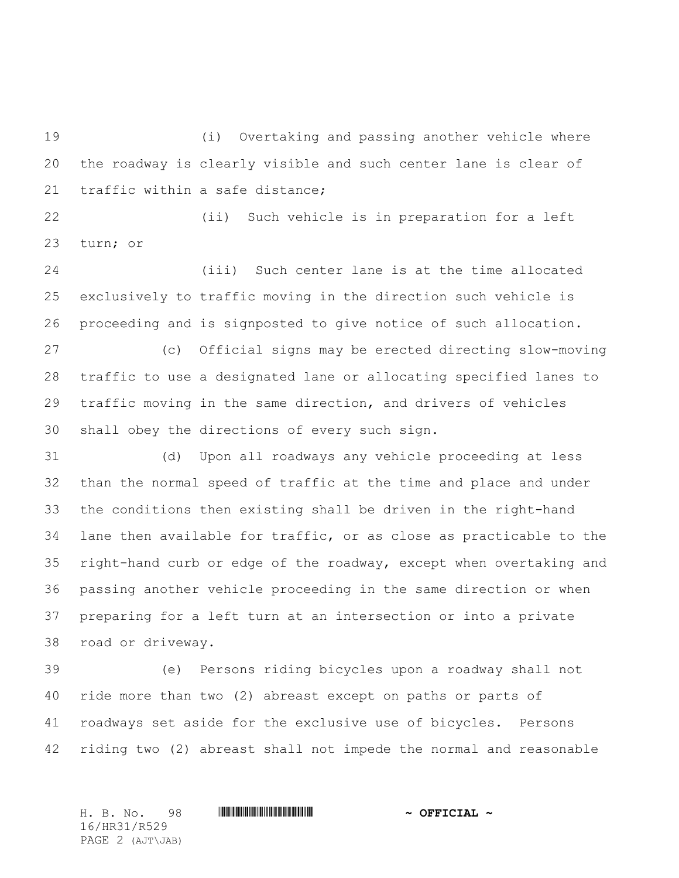(i) Overtaking and passing another vehicle where the roadway is clearly visible and such center lane is clear of traffic within a safe distance;

 (ii) Such vehicle is in preparation for a left turn; or

 (iii) Such center lane is at the time allocated exclusively to traffic moving in the direction such vehicle is proceeding and is signposted to give notice of such allocation.

 (c) Official signs may be erected directing slow-moving traffic to use a designated lane or allocating specified lanes to traffic moving in the same direction, and drivers of vehicles shall obey the directions of every such sign.

 (d) Upon all roadways any vehicle proceeding at less than the normal speed of traffic at the time and place and under the conditions then existing shall be driven in the right-hand lane then available for traffic, or as close as practicable to the right-hand curb or edge of the roadway, except when overtaking and passing another vehicle proceeding in the same direction or when preparing for a left turn at an intersection or into a private road or driveway.

 (e) Persons riding bicycles upon a roadway shall not ride more than two (2) abreast except on paths or parts of roadways set aside for the exclusive use of bicycles. Persons riding two (2) abreast shall not impede the normal and reasonable

H. B. No. 98 \*HR31/R529\* **~ OFFICIAL ~** 16/HR31/R529 PAGE 2 (AJT\JAB)